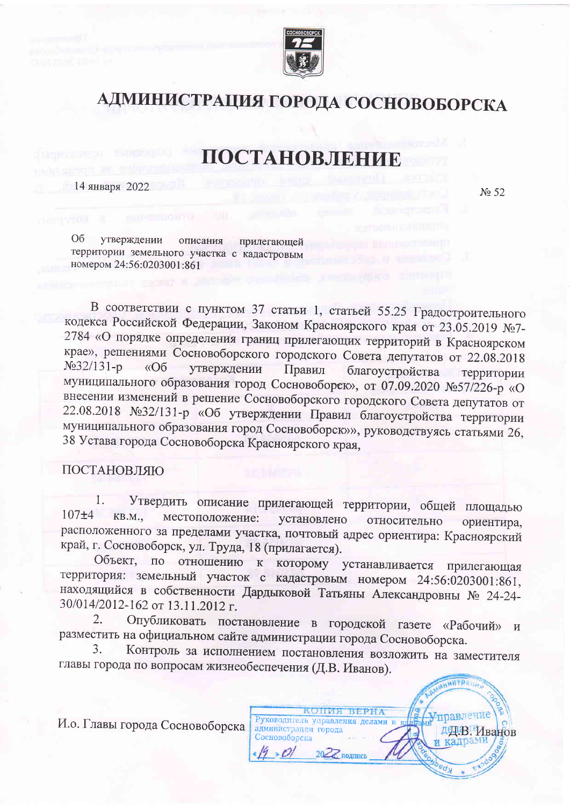

## АДМИНИСТРАЦИЯ ГОРОДА СОСНОВОБОРСКА

## ПОСТАНОВЛЕНИЕ

14 января 2022

No 52

O<sub>6</sub> утверждении описания прилегающей территории земельного участка с кадастровым номером 24:56:0203001:861

В соответствии с пунктом 37 статьи 1, статьей 55.25 Градостроительного кодекса Российской Федерации, Законом Красноярского края от 23.05.2019 №7-2784 «О порядке определения границ прилегающих территорий в Красноярском крае», решениями Сосновоборского городского Совета депутатов от 22.08.2018  $N<sub>932/131-p</sub>$  $\triangleleft$ Oб утверждении Правил благоустройства территории муниципального образования город Сосновоборск», от 07.09.2020 №57/226-р «О внесении изменений в решение Сосновоборского городского Совета депутатов от 22.08.2018 №32/131-р «Об утверждении Правил благоустройства территории муниципального образования город Сосновоборск»», руководствуясь статьями 26, 38 Устава города Сосновоборска Красноярского края,

## ПОСТАНОВЛЯЮ

Утвердить описание прилегающей территории, общей площадью 1.  $107\pm4$ KB.M., местоположение: установлено относительно ориентира, расположенного за пределами участка, почтовый адрес ориентира: Красноярский край, г. Сосновоборск, ул. Труда, 18 (прилагается).

Объект, по отношению которому устанавливается  $\mathbf{K}$ прилегающая территория: земельный участок с кадастровым номером 24:56:0203001:861, находящийся в собственности Дардыковой Татьяны Александровны № 24-24-30/014/2012-162 от 13.11.2012 г.

Опубликовать постановление в городской газете «Рабочий» и 2. разместить на официальном сайте администрации города Сосновоборска.

Контроль за исполнением постановления возложить на заместителя 3. главы города по вопросам жизнеобеспечения (Д.В. Иванов).



И.о. Главы города Сосновоборска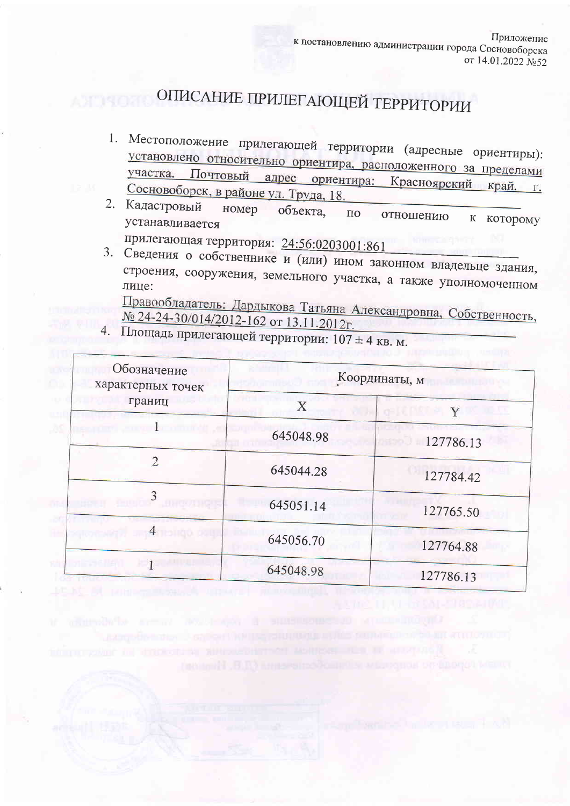## ОПИСАНИЕ ПРИЛЕГАЮЩЕЙ ТЕРРИТОРИИ

- 1. Местоположение прилегающей территории (адресные ориентиры): установлено относительно ориентира, расположенного за пределами Почтовый адрес ориентира: Красноярский край, г. Сосновоборск, в районе ул. Труда, 18.
- 2. Кадастровый номер объекта.  $\Pi$ O отношению к которому устанавливается
	- прилегающая территория: 24:56:0203001:861
- 3. Сведения о собственнике и (или) ином законном владельце здания, строения, сооружения, земельного участка, а также уполномоченном лице:

Правообладатель: Дардыкова Татьяна Александровна, Собственность, № 24-24-30/014/2012-162 от 13.11.2012г.

4. Площадь прилегающей территории: 107 ± 4 кв. м.

| Обозначение<br>характерных точек | Координаты, м |                      |
|----------------------------------|---------------|----------------------|
| границ                           | Χ             | Y<br>DI PIRTO P      |
|                                  | 645048.98     | 127786.13<br>o see u |
| $\overline{2}$                   | 645044.28     | 127784.42            |
| 3                                | 645051.14     | 127765.50            |
|                                  | 645056.70     | 127764.88            |
|                                  | 645048.98     | 127786.13            |